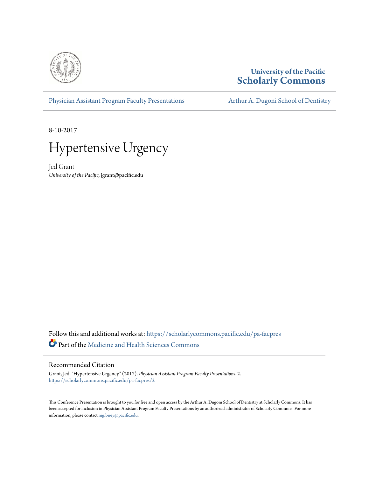

# **University of the Pacific [Scholarly Commons](https://scholarlycommons.pacific.edu?utm_source=scholarlycommons.pacific.edu%2Fpa-facpres%2F2&utm_medium=PDF&utm_campaign=PDFCoverPages)**

[Physician Assistant Program Faculty Presentations](https://scholarlycommons.pacific.edu/pa-facpres?utm_source=scholarlycommons.pacific.edu%2Fpa-facpres%2F2&utm_medium=PDF&utm_campaign=PDFCoverPages) [Arthur A. Dugoni School of Dentistry](https://scholarlycommons.pacific.edu/dugoni?utm_source=scholarlycommons.pacific.edu%2Fpa-facpres%2F2&utm_medium=PDF&utm_campaign=PDFCoverPages)

8-10-2017



Jed Grant *University of the Pacific*, jgrant@pacific.edu

Follow this and additional works at: [https://scholarlycommons.pacific.edu/pa-facpres](https://scholarlycommons.pacific.edu/pa-facpres?utm_source=scholarlycommons.pacific.edu%2Fpa-facpres%2F2&utm_medium=PDF&utm_campaign=PDFCoverPages) Part of the [Medicine and Health Sciences Commons](http://network.bepress.com/hgg/discipline/648?utm_source=scholarlycommons.pacific.edu%2Fpa-facpres%2F2&utm_medium=PDF&utm_campaign=PDFCoverPages)

# Recommended Citation

Grant, Jed, "Hypertensive Urgency" (2017). *Physician Assistant Program Faculty Presentations*. 2. [https://scholarlycommons.pacific.edu/pa-facpres/2](https://scholarlycommons.pacific.edu/pa-facpres/2?utm_source=scholarlycommons.pacific.edu%2Fpa-facpres%2F2&utm_medium=PDF&utm_campaign=PDFCoverPages)

This Conference Presentation is brought to you for free and open access by the Arthur A. Dugoni School of Dentistry at Scholarly Commons. It has been accepted for inclusion in Physician Assistant Program Faculty Presentations by an authorized administrator of Scholarly Commons. For more information, please contact [mgibney@pacific.edu.](mailto:mgibney@pacific.edu)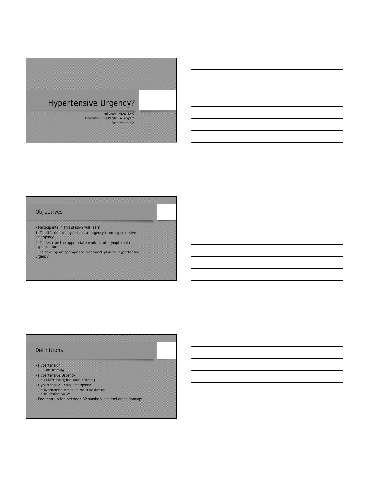# Hypertensive Urgency?

Jed Grant, MPAS, PA-C University of the Pacific PA Program Sacramento, CA

# Objectives

- Participants in this session will learn:
- 1. To differentiate hypertensive urgency from hypertensive emergency
- 2. To describe the appropriate work-up of asymptomatic hypertension
- 3. To develop an appropriate treatment plan for hypertensive

urgency

# Definitions

- Hypertension
- 140/90mm Hg
- Hypertensive Urgency >140/90mm Hg but <180/110mm Hg
- 
- Hypertensive Crisis/Emergency Hypertension with acute end organ damage
	- No absolute values
- Poor correlation between BP numbers and end organ damage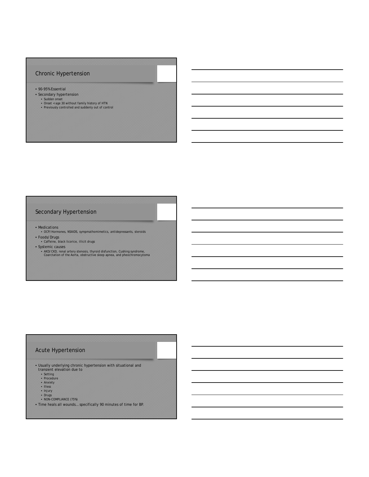## Chronic Hypertension

- 90-95% Essential
- Secondary hypertension
	-
	- Sudden onset Onset < age 30 without family history of HTN Previously controlled and suddenly out of control
	-

## Secondary Hypertension

- Medications
- OCP/Hormones, NSAIDS, sympmathomimetics, antidepressants, steroids • Foods/Drugs
- Caffeine, black licorice, illicit drugs
- 
- Systemic causes AKD/CKD, renal artery stenosis, thyroid disfunction, Cushing syndrome, Coarctation of the Aorta, obstructive sleep apnea, and pheochromocytoma

# Acute Hypertension

- Usually underlying chronic hypertension with situational and<br>
transient elevation due to<br>
 Setting<br>
 Procedure<br>
 Anxiety<br>
 Illess<br>
 Illess<br>
 Illess<br>
 NON-COMPLIANCE (75%)
	-
	-
	-
	-
	-
	-
- Time heals all wounds… specifically 90 minutes of time for BP.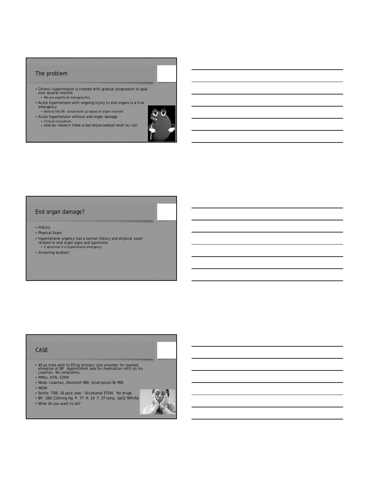#### The problem

- Chronic hypertension is treated with gradual progression to goal over several months • PAs are experts at managing this
- Acute hypertension with ongoing injury to end organs is a true emergency Send to the ER broad work up based on organ involved
- 
- Acute hypertension without end organ damage
	- Clinical conundrum HOW DO I KNOW IF THERE IS END ORGAN DAMAGE? WHAT DO I DO?



# End organ damage?

- History
- Physical Exam
- Hypertensive urgency has a normal history and physical exam related to end organ signs and sypmtoms If abnormal it is hypertensive emergency
- 
- Screening studies?

#### CASE

- 49 yo male sent to ED by primary care provider for marked elevation of BP. Appointment was for medication refill on his Losartan. No complaints.
- PMHx: HTN, COPD
- Meds: Losartan, Albuterol MDI, Ipratropium Br MDI
- NKDA
- SocHx: TOB: 18 pack year. Occasional ETOH. No drugs.
- BP: 180/110mmg Hg P: 77 R: 14 T: 37 tymp. SaO2 99% RA
- What do you want to do?

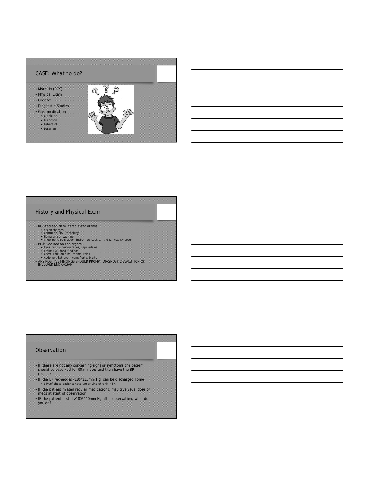

## History and Physical Exam

- -
- ROS focused on vulnerable end organs<br>• Vision changes<br>• Confusion, HA, irritability<br>• Hematuria or swelling<br>• Hematuria or swelling<br>• Chest pain, SOB, abdominal or low back pain, dizziness, syncope
- 
- 
- 
- 
- PE is Focused on end organs<br>• Eyes: retinal hemorrhages, papilledema<br>• Brain: AMS, focal findings<br>• Chest: Friction rubs, edema, rales<br>• Abdomen/Retroperineum: Aorta, bruits<br>• ANY POSITIVE FINDINGS SHOULD PROMPT DIAGNOST

#### **Observation**

- IF there are not any concerning signs or symptoms the patient should be observed for 90 minutes and then have the BP rechecked.
- IF the BP recheck is <180/110mm Hg, can be discharged home 94% of these patients have underlying chronic HTN.
- IF the patient missed regular medications, may give usual dose of meds at start of observation
- IF the patient is still >180/110mm Hg after observation, what do you do?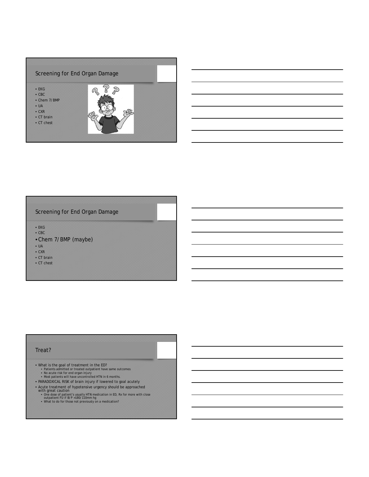

## Screening for End Organ Damage

• EKG

- CBC
- Chem 7/BMP (maybe)
- UA
- CXR
- CT brain
- CT chest

#### Treat?

- 
- What is the goal of treatment in the ED? Patients admitted or treated outpatient have same outcomes No acute risk for end organ injury Most patients will have uncontrolled HTN in 6 months.
	-
- PARADOXICAL RISK of brain injury if lowered to goal acutely
- 
- Acute treatment of hypotensive urgency should be approached<br>with great caution<br>One dose of patient's usually HTN medication in ED, Rx for more with close<br>outpatient FU if B/P >180/110mm hg<br>what to do for those not previo
	-
	-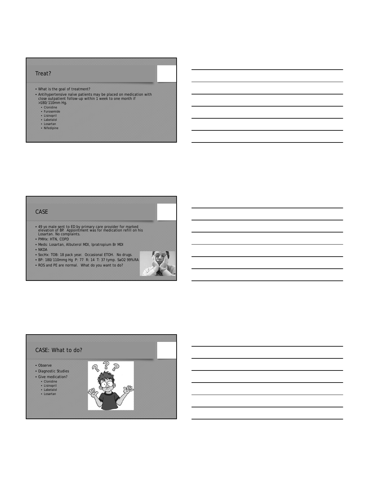#### Treat?

- What is the goal of treatment?
- Antihypertensive naïve patients may be placed on medication with close outpatient follow-up within 1 week to one month if >180/110mm Hg.
	-
	- Clonidine Furosemide
	-
	- Lisinopril Labetalol Losartan Nifedipine
	-
	-

# CASE

- 49 yo male sent to ED by primary care provider for marked elevation of BP. Appointment was for medication refill on his Losartan. No complaints.
- PMHx: HTN, COPD
- Meds: Losartan, Albuterol MDI, Ipratropium Br MDI

• ROS and PE are normal. What do you want to do?

• SocHx: TOB: 18 pack year. Occasional ETOH. No drugs.

- NKDA
- BP: 180/110mmg Hg P: 77 R: 14 T: 37 tymp. SaO2 99% RA

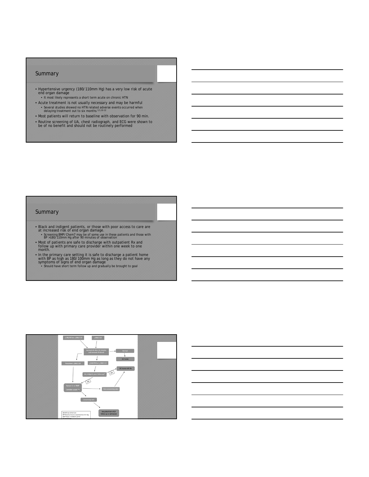#### Summary

- Hypertensive urgency (180/110mm Hg) has a very low risk of acute end organ damage
- It most likely represents a short term acute on chronic HTN • Acute treatment is not usually necessary and may be harmful<br>• Several studies showed no HTM related adverse events occurred when<br>delaying treatment out to six months 3,5,10-12
- Most patients will return to baseline with observation for 90 min.
- Routine screening of UA, chest radiograph, and ECG were shown to be of no benefit and should not be routinely performed

#### **Summary**

- Black and indigent patients, or those with poor access to care are<br>at increased risk of end organ damage.<br>• Screening BMP/Chem7 may be of some use in these patients and those with<br>BP >180/110mm Hg after 90 minutes of obs
- Most of patients are safe to discharge with outpatient Rx and follow up with primary care provider within one week to one month.
- In the primary care setting it is safe to discharge a patient home<br>with BP as high as 180/100mm Hg as long as they do not have any<br>symptoms of signs of end organ damage<br>Should have short term follow up and gradually be b